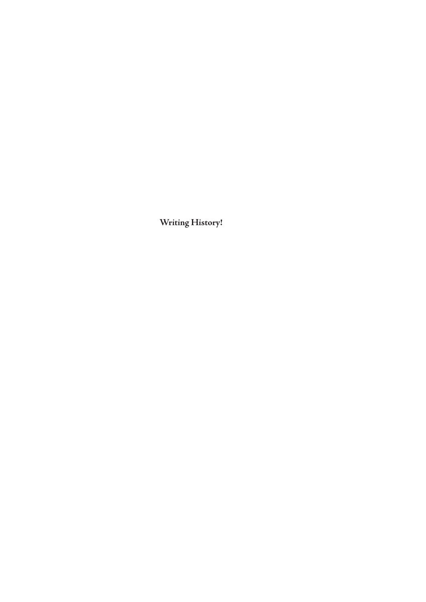**Writing History!**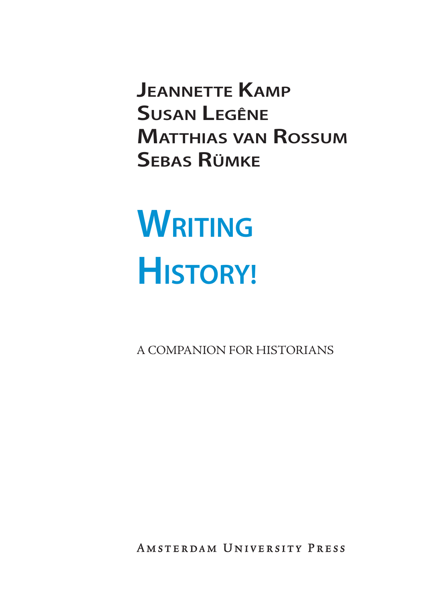**Jeannette Kamp Susan Legêne Matthias van Rossum Sebas Rümke**

# **WRITING History!**

A COMPANION FOR HISTORIANS

AMSTERDAM UNIVERSITY PRESS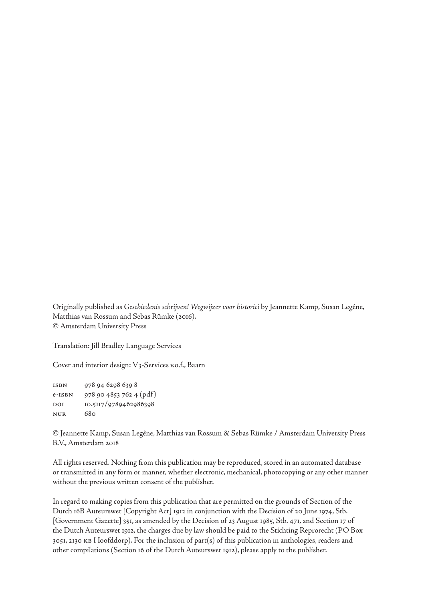Originally published as *Geschiedenis schrijven! Wegwijzer voor historici* by Jeannette Kamp, Susan Legêne, Matthias van Rossum and Sebas Rümke (2016). © Amsterdam University Press

Translation: Jill Bradley Language Services

Cover and interior design: V3-Services v.o.f., Baarn

ISBN 978 94 6298 639 8 e-ISBN 978 90 4853 762 4 (pdf ) DOI 10.5117/9789462986398 NUR 680

© Jeannette Kamp, Susan Legêne, Matthias van Rossum & Sebas Rümke / Amsterdam University Press B.V., Amsterdam 2018

All rights reserved. Nothing from this publication may be reproduced, stored in an automated database or transmitted in any form or manner, whether electronic, mechanical, photocopying or any other manner without the previous written consent of the publisher.

In regard to making copies from this publication that are permitted on the grounds of Section of the Dutch 16B Auteurswet [Copyright Act] 1912 in conjunction with the Decision of 20 June 1974, Stb. [Government Gazette] 351, as amended by the Decision of 23 August 1985, Stb. 471, and Section 17 of the Dutch Auteurswet 1912, the charges due by law should be paid to the Stichting Reprorecht (PO Box 3051, 2130 KB Hoofddorp). For the inclusion of part(s) of this publication in anthologies, readers and other compilations (Section 16 of the Dutch Auteurswet 1912), please apply to the publisher.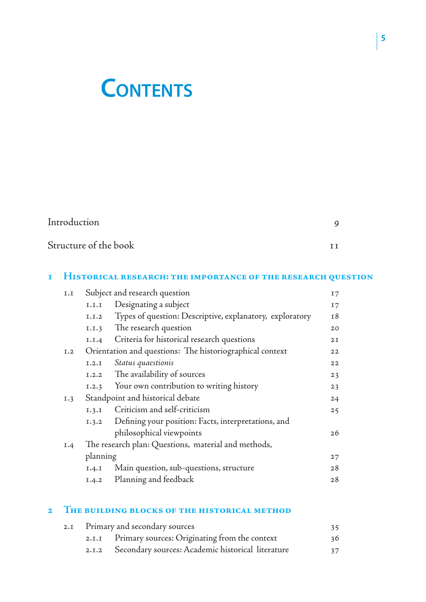# **Contents**

| Introduction          |  |
|-----------------------|--|
| Structure of the book |  |

#### **1 Historical research: The importance of the research question**

| I.I |          | Subject and research question                            | 17 |
|-----|----------|----------------------------------------------------------|----|
|     |          | 1.1.1 Designating a subject                              | 17 |
|     | I.I.2    | Types of question: Descriptive, explanatory, exploratory | 18 |
|     |          | 1.1.3 The research question                              | 20 |
|     | I.I.4    | Criteria for historical research questions               | 2I |
| I.2 |          | Orientation and questions: The historiographical context | 22 |
|     | I.2.1    | Status quaestionis                                       | 22 |
|     |          | 1.2.2 The availability of sources                        | 23 |
|     |          | 1.2.3 Your own contribution to writing history           | 23 |
|     |          | 1.3 Standpoint and historical debate                     | 24 |
|     | I.3.1    | Criticism and self-criticism                             | 25 |
|     | I.3.2    | Defining your position: Facts, interpretations, and      |    |
|     |          | philosophical viewpoints                                 | 26 |
| I.4 |          | The research plan: Questions, material and methods,      |    |
|     | planning |                                                          | 27 |
|     | I.4.1    | Main question, sub-questions, structure                  | 28 |
|     |          | 1.4.2 Planning and feedback                              | 28 |
|     |          |                                                          |    |

#### **2 The building blocks of the historical method**

|  | 2.1 Primary and secondary sources                       | 35 |
|--|---------------------------------------------------------|----|
|  | 2.1.1 Primary sources: Originating from the context     | 36 |
|  | 2.1.2 Secondary sources: Academic historical literature | 37 |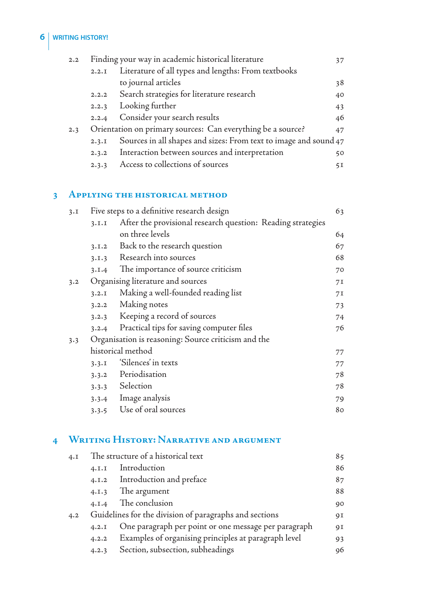### **6 writing history!**

| 2,2 |     |         | Finding your way in academic historical literature               | 37 |
|-----|-----|---------|------------------------------------------------------------------|----|
|     |     | 2.2.1   | Literature of all types and lengths: From textbooks              |    |
|     |     |         | to journal articles                                              | 38 |
|     |     | 2, 2, 2 | Search strategies for literature research                        | 40 |
|     |     | 2.2.3   | Looking further                                                  | 43 |
|     |     | 2, 2, 4 | Consider your search results                                     | 46 |
|     | 2.3 |         | Orientation on primary sources: Can everything be a source?      | 47 |
|     |     | 2.3.1   | Sources in all shapes and sizes: From text to image and sound 47 |    |
|     |     | 2.3.2   | Interaction between sources and interpretation                   | 50 |
|     |     | 2.3.3   | Access to collections of sources                                 | 5I |
|     |     |         |                                                                  |    |

#### **3 Applying the historical method**

| 3.1 |       | Five steps to a definitive research design                  | 63 |
|-----|-------|-------------------------------------------------------------|----|
|     | 3.1.1 | After the provisional research question: Reading strategies |    |
|     |       | on three levels                                             | 64 |
|     |       | 3.1.2 Back to the research question                         | 67 |
|     |       | 3.1.3 Research into sources                                 | 68 |
|     | 3.1.4 | The importance of source criticism                          | 70 |
| 3.2 |       | Organising literature and sources                           | 7I |
|     | 3.2.1 | Making a well-founded reading list                          | 7I |
|     |       | 3.2.2 Making notes                                          | 73 |
|     |       | 3.2.3 Keeping a record of sources                           | 74 |
|     | 3.2.4 | Practical tips for saving computer files                    | 76 |
| 3.3 |       | Organisation is reasoning: Source criticism and the         |    |
|     |       | historical method                                           | 77 |
|     | 3.3.1 | 'Silences' in texts                                         | 77 |
|     |       | 3.3.2 Periodisation                                         | 78 |
|     |       | 3.3.3 Selection                                             | 78 |
|     |       | 3.3.4 Image analysis                                        | 79 |
|     | 3.3.5 | Use of oral sources                                         | 80 |

#### **4 Writing History: Narrative and argument**

| 4.1 |         | The structure of a historical text                     | 85 |
|-----|---------|--------------------------------------------------------|----|
|     | 4.I.I   | Introduction                                           | 86 |
|     |         | 4.1.2 Introduction and preface                         | 87 |
|     | 4.1.3   | The argument                                           | 88 |
|     | 4.1.4   | The conclusion                                         | 90 |
| 4.2 |         | Guidelines for the division of paragraphs and sections | 9I |
|     | 4, 2, I | One paragraph per point or one message per paragraph   | 9I |
|     | 4.2.2   | Examples of organising principles at paragraph level   | 93 |
|     | 4.2.3   | Section, subsection, subheadings                       | 96 |
|     |         |                                                        |    |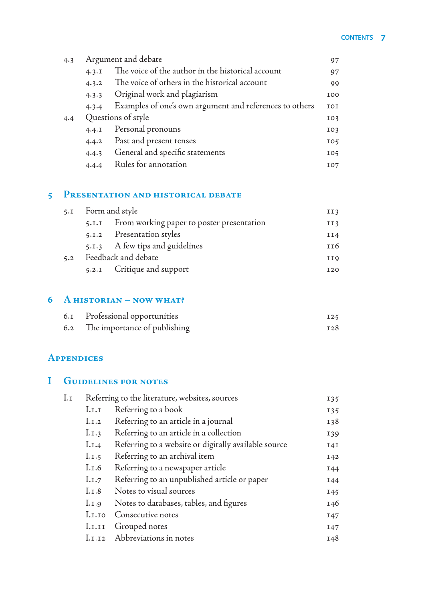#### **contents 7**

| 4.3 | Argument and debate |                                                         | 97         |
|-----|---------------------|---------------------------------------------------------|------------|
|     | 4.3.1               | The voice of the author in the historical account       | 97         |
|     | 4.3.2               | The voice of others in the historical account           | 99         |
|     | 4.3.3               | Original work and plagiarism                            | 100        |
|     | 4.3.4               | Examples of one's own argument and references to others | <b>TOT</b> |
| 4.4 |                     | Questions of style                                      | IO3        |
|     |                     | 4.4.1 Personal pronouns                                 | IO3        |
|     | 4.4.2               | Past and present tenses                                 | <b>105</b> |
|     | 4.4.3               | General and specific statements                         | 105        |
|     | 4.4.4               | Rules for annotation                                    | <b>107</b> |

#### **5 Presentation and historical debate**

| 5.1 |       | Form and style                                  | II3 |
|-----|-------|-------------------------------------------------|-----|
|     |       | 5.1.1 From working paper to poster presentation | II3 |
|     | 5.1.2 | Presentation styles                             | II4 |
|     |       | 5.1.3 A few tips and guidelines                 | 116 |
| 5.2 |       | Feedback and debate                             | II9 |
|     |       | 5.2.1 Critique and support                      | 120 |
|     |       |                                                 |     |

#### **6 A historian – Now what?**

| 6.1 Professional opportunities   | 125              |
|----------------------------------|------------------|
| 6.2 The importance of publishing | T <sub>2</sub> 8 |

#### **Appendices**

#### **I Guidelines for notes**

| I.1 |        | Referring to the literature, websites, sources       | 135 |
|-----|--------|------------------------------------------------------|-----|
|     | I.I.I  | Referring to a book                                  | 135 |
|     | 1.1.2  | Referring to an article in a journal                 | I38 |
|     | 1.1.3  | Referring to an article in a collection              | I39 |
|     | 1.1.4  | Referring to a website or digitally available source | 14I |
|     | I.I.5  | Referring to an archival item                        | I42 |
|     | I.I.6  | Referring to a newspaper article                     | I44 |
|     | I.I.7  | Referring to an unpublished article or paper         | I44 |
|     | I.I.8  | Notes to visual sources                              | 145 |
|     | 0.1.1  | Notes to databases, tables, and figures              | 146 |
|     | 1.1.10 | Consecutive notes                                    | I47 |
|     | 1.1.11 | Grouped notes                                        | I47 |
|     | 1.1.12 | Abbreviations in notes                               | 148 |
|     |        |                                                      |     |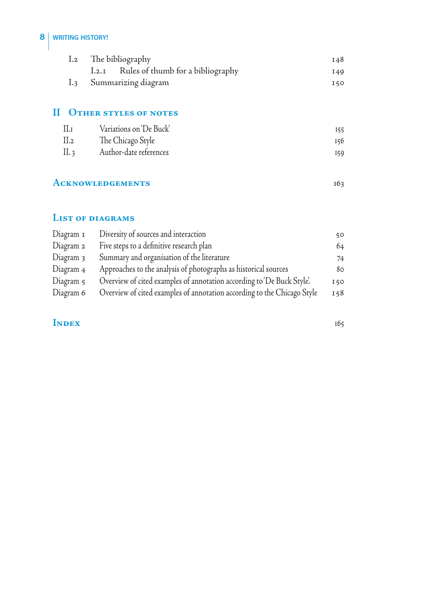### **8 writing history!**

|  | I.2 The bibliography                    | 148  |
|--|-----------------------------------------|------|
|  | I.2.1 Rules of thumb for a bibliography | 149. |
|  | I.3 Summarizing diagram                 | 150  |

#### **II Other styles of notes**

| $\rm{II}$         | Variations on 'De Buck' | 155 |
|-------------------|-------------------------|-----|
| II <sub>2</sub>   | The Chicago Style       | 156 |
| II. $\frac{1}{2}$ | Author-date references  | 159 |

#### ACKNOWLEDGEMENTS 163

#### **List of diagrams**

| Diagram 1 | Diversity of sources and interaction                                    | 50         |
|-----------|-------------------------------------------------------------------------|------------|
| Diagram 2 | Five steps to a definitive research plan                                | 64         |
| Diagram 3 | Summary and organisation of the literature                              | 74         |
| Diagram 4 | Approaches to the analysis of photographs as historical sources         | 80         |
| Diagram 5 | Overview of cited examples of annotation according to 'De Buck Style'.  | <b>I50</b> |
| Diagram 6 | Overview of cited examples of annotation according to the Chicago Style | 158        |
|           |                                                                         |            |

#### **INDEX** 165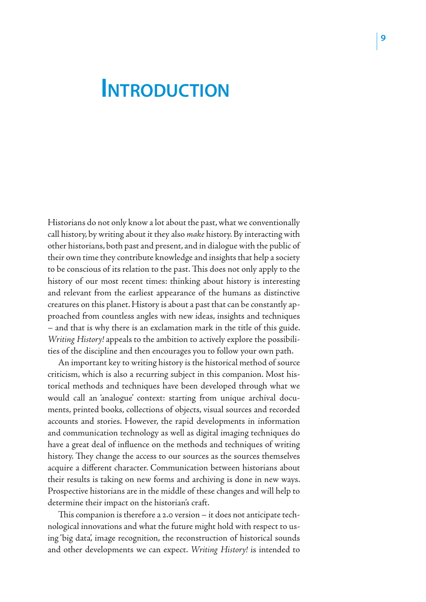### **INTRODUCTION**

Historians do not only know a lot about the past, what we conventionally call history, by writing about it they also *make* history. By interacting with other historians, both past and present, and in dialogue with the public of their own time they contribute knowledge and insights that help a society to be conscious of its relation to the past. This does not only apply to the history of our most recent times: thinking about history is interesting and relevant from the earliest appearance of the humans as distinctive creatures on this planet. History is about a past that can be constantly approached from countless angles with new ideas, insights and techniques – and that is why there is an exclamation mark in the title of this guide. *Writing History!* appeals to the ambition to actively explore the possibilities of the discipline and then encourages you to follow your own path.

An important key to writing history is the historical method of source criticism, which is also a recurring subject in this companion. Most historical methods and techniques have been developed through what we would call an 'analogue' context: starting from unique archival documents, printed books, collections of objects, visual sources and recorded accounts and stories. However, the rapid developments in information and communication technology as well as digital imaging techniques do have a great deal of influence on the methods and techniques of writing history. They change the access to our sources as the sources themselves acquire a different character. Communication between historians about their results is taking on new forms and archiving is done in new ways. Prospective historians are in the middle of these changes and will help to determine their impact on the historian's craft.

This companion is therefore a 2.0 version – it does not anticipate technological innovations and what the future might hold with respect to using 'big data', image recognition, the reconstruction of historical sounds and other developments we can expect. *Writing History!* is intended to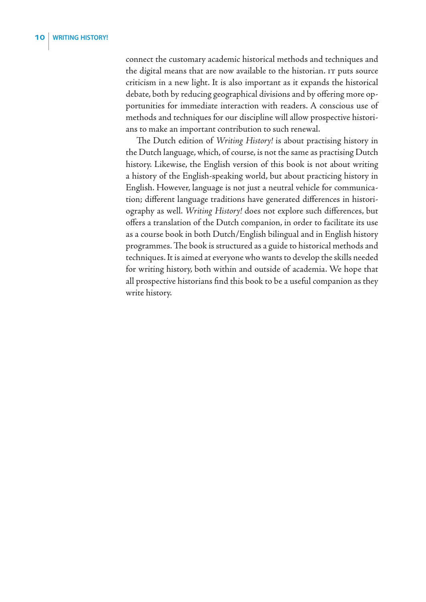connect the customary academic historical methods and techniques and the digital means that are now available to the historian. IT puts source criticism in a new light. It is also important as it expands the historical debate, both by reducing geographical divisions and by offering more opportunities for immediate interaction with readers. A conscious use of methods and techniques for our discipline will allow prospective historians to make an important contribution to such renewal.

The Dutch edition of *Writing History!* is about practising history in the Dutch language, which, of course, is not the same as practising Dutch history. Likewise, the English version of this book is not about writing a history of the English-speaking world, but about practicing history in English. However, language is not just a neutral vehicle for communication; different language traditions have generated differences in historiography as well. *Writing History!* does not explore such differences, but offers a translation of the Dutch companion, in order to facilitate its use as a course book in both Dutch/English bilingual and in English history programmes. The book is structured as a guide to historical methods and techniques. It is aimed at everyone who wants to develop the skills needed for writing history, both within and outside of academia. We hope that all prospective historians find this book to be a useful companion as they write history.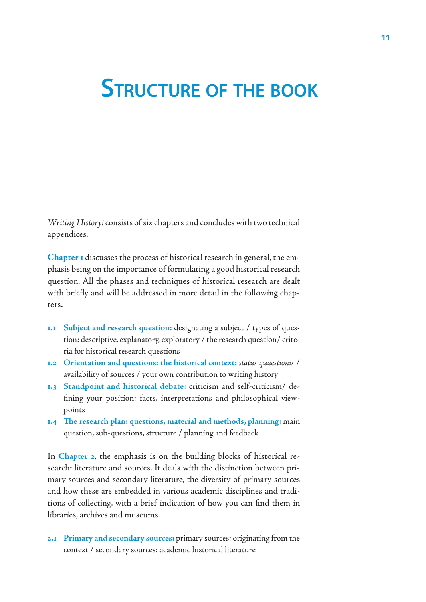## **Structure of the book**

*Writing History!* consists of six chapters and concludes with two technical appendices.

**Chapter 1** discusses the process of historical research in general, the emphasis being on the importance of formulating a good historical research question. All the phases and techniques of historical research are dealt with briefly and will be addressed in more detail in the following chapters.

- **1.1 Subject and research question:** designating a subject / types of question: descriptive, explanatory, exploratory / the research question/ criteria for historical research questions
- **1.2 Orientation and questions: the historical context:** *status quaestionis* / availability of sources / your own contribution to writing history
- **1.3 Standpoint and historical debate:** criticism and self-criticism/ defining your position: facts, interpretations and philosophical viewpoints
- **1.4 The research plan: questions, material and methods, planning:** main question, sub-questions, structure / planning and feedback

In **Chapter 2**, the emphasis is on the building blocks of historical research: literature and sources. It deals with the distinction between primary sources and secondary literature, the diversity of primary sources and how these are embedded in various academic disciplines and traditions of collecting, with a brief indication of how you can find them in libraries, archives and museums.

**2.1 Primary and secondary sources:** primary sources: originating from the context / secondary sources: academic historical literature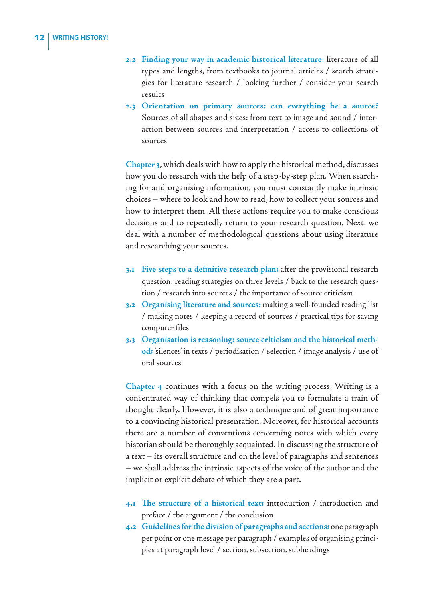- **2.2 Finding your way in academic historical literature:** literature of all types and lengths, from textbooks to journal articles / search strategies for literature research / looking further / consider your search results
- **2.3 Orientation on primary sources: can everything be a source?**  Sources of all shapes and sizes: from text to image and sound / interaction between sources and interpretation / access to collections of sources

**Chapter 3**, which deals with how to apply the historical method, discusses how you do research with the help of a step-by-step plan. When searching for and organising information, you must constantly make intrinsic choices – where to look and how to read, how to collect your sources and how to interpret them. All these actions require you to make conscious decisions and to repeatedly return to your research question. Next, we deal with a number of methodological questions about using literature and researching your sources.

- **3.1 Five steps to a definitive research plan:** after the provisional research question: reading strategies on three levels / back to the research question / research into sources / the importance of source criticism
- **3.2 Organising literature and sources:** making a well-founded reading list / making notes / keeping a record of sources / practical tips for saving computer files
- **3.3 Organisation is reasoning: source criticism and the historical method:** 'silences' in texts / periodisation / selection / image analysis / use of oral sources

**Chapter 4** continues with a focus on the writing process. Writing is a concentrated way of thinking that compels you to formulate a train of thought clearly. However, it is also a technique and of great importance to a convincing historical presentation. Moreover, for historical accounts there are a number of conventions concerning notes with which every historian should be thoroughly acquainted. In discussing the structure of a text – its overall structure and on the level of paragraphs and sentences – we shall address the intrinsic aspects of the voice of the author and the implicit or explicit debate of which they are a part.

- **4.1 The structure of a historical text:** introduction / introduction and preface / the argument / the conclusion
- **4.2 Guidelines for the division of paragraphs and sections:** one paragraph per point or one message per paragraph / examples of organising principles at paragraph level / section, subsection, subheadings